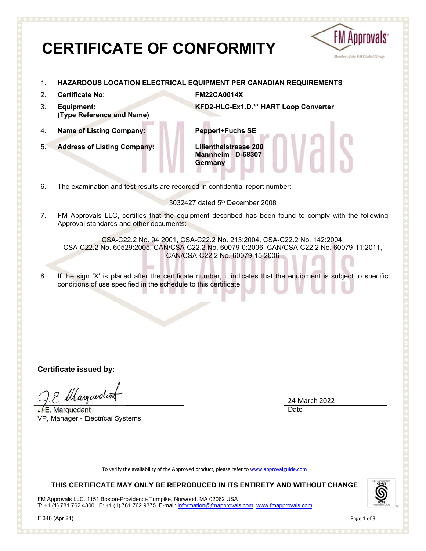# **CERTIFICATE OF CONFORMITY**



- 1. **HAZARDOUS LOCATION ELECTRICAL EQUIPMENT PER CANADIAN REQUIREMENTS**
- 2. **Certificate No: FM22CA0014X**
- 3. **Equipment: (Type Reference and Name)**
- 4. **Name of Listing Company: Pepperl+Fuchs SE**
- 5. **Address of Listing Company: Lilienthalstrasse 200**

**KFD2-HLC-Ex1.D.\*\* HART Loop Converter**

**Mannheim D-68307 Germany**

6. The examination and test results are recorded in confidential report number:

3032427 dated 5th December 2008

7. FM Approvals LLC, certifies that the equipment described has been found to comply with the following Approval standards and other documents:

CSA-C22.2 No. 94:2001, CSA-C22.2 No. 213:2004, CSA-C22.2 No. 142:2004, CSA-C22.2 No. 60529:2005, CAN/CSA-C22.2 No. 60079-0:2006, CAN/CSA-C22.2 No. 60079-11:2011, CAN/CSA-C22.2 No. 60079-15:2006

8. If the sign 'X' is placed after the certificate number, it indicates that the equipment is subject to specific conditions of use specified in the schedule to this certificate.

**Certificate issued by:**

9 Margueratio

 $J.E.$  Marquedant VP, Manager - Electrical Systems

24 March 2022 Date

To verify the availability of the Approved product, please refer to www.approvalguide.com

# **THIS CERTIFICATE MAY ONLY BE REPRODUCED IN ITS ENTIRETY AND WITHOUT CHANGE**

FM Approvals LLC. 1151 Boston-Providence Turnpike, Norwood, MA 02062 USA T: +1 (1) 781 762 4300 F: +1 (1) 781 762 9375 E-mail: information@fmapprovals.com www.fmapprovals.com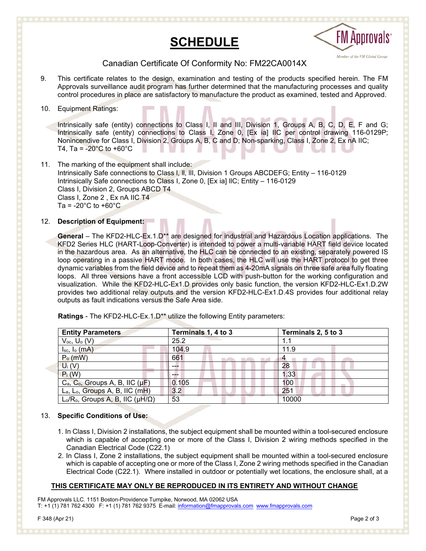# **SCHEDULE**



# Canadian Certificate Of Conformity No: FM22CA0014X

9. This certificate relates to the design, examination and testing of the products specified herein. The FM Approvals surveillance audit program has further determined that the manufacturing processes and quality control procedures in place are satisfactory to manufacture the product as examined, tested and Approved.

## 10. Equipment Ratings:

Intrinsically safe (entity) connections to Class I, II and III, Division 1, Groups A, B, C, D, E, F and G; Intrinsically safe (entity) connections to Class I, Zone 0, [Ex ia] IIC per control drawing 116-0129P; Nonincendive for Class I, Division 2, Groups A, B, C and D; Non-sparking, Class I, Zone 2, Ex nA IIC; T4, Ta =  $-20^{\circ}$ C to  $+60^{\circ}$ C

11. The marking of the equipment shall include: Intrinsically Safe connections to Class l, ll, llI, Division 1 Groups ABCDEFG; Entity – 116-0129 Intrinsically Safe connections to Class I, Zone 0, [Ex ia] IlC; Entity – 116-0129 Class I, Division 2, Groups ABCD T4 Class I, Zone 2 , Ex nA IIC T4 Ta =  $-20^{\circ}$ C to  $+60^{\circ}$ C

### 12. **Description of Equipment:**

**General** – The KFD2-HLC-Ex.1.D\*\* are designed for industrial and Hazardous Location applications. The KFD2 Series HLC (HART-Loop-Converter) is intended to power a multi-variable HART field device located in the hazardous area. As an alternative, the HLC can be connected to an existing, separately powered IS loop operating in a passive HART mode. In both cases, the HLC will use the HART protocol to get three dynamic variables from the field device and to repeat them as 4-20mA signals on three safe area fully floating loops. All three versions have a front accessible LCD with push-button for the working configuration and visualization. While the KFD2-HLC-Ex1.D provides only basic function, the version KFD2-HLC-Ex1.D.2W provides two additional relay outputs and the version KFD2-HLC-Ex1.D.4S provides four additional relay outputs as fault indications versus the Safe Area side.

| <b>Entity Parameters</b>                                                | Terminals 1, 4 to 3 | Terminals 2, 5 to 3 |
|-------------------------------------------------------------------------|---------------------|---------------------|
| $V_{oc}$ , $U_{o}$ (V)                                                  | 25.2                | 1.1                 |
| $I_{sc}$ , $I_{o}$ (mA)                                                 | 104.9               | 11.9                |
| $Po$ (mW)                                                               | 661                 |                     |
| $U_i(V)$                                                                | ---                 | 28                  |
| $P_i(W)$                                                                |                     | 1.33                |
| $C_a$ , $C_o$ , Groups A, B, IIC ( $\mu$ F)                             | 0.105               | 100                 |
| L <sub>a</sub> , L <sub>o</sub> , Groups A, B, IIC (mH)                 | 3.2                 | 251                 |
| L <sub>o</sub> /R <sub>o</sub> , Groups A, B, IIC ( $\mu$ H/ $\Omega$ ) | 53                  | 10000               |

**Ratings** - The KFD2-HLC-Ex.1.D\*\* utilize the following Entity parameters:

### 13. **Specific Conditions of Use:**

- 1. In Class I, Division 2 installations, the subject equipment shall be mounted within a tool-secured enclosure which is capable of accepting one or more of the Class I, Division 2 wiring methods specified in the Canadian Electrical Code (C22.1)
- 2. In Class I, Zone 2 installations, the subject equipment shall be mounted within a tool-secured enclosure which is capable of accepting one or more of the Class I, Zone 2 wiring methods specified in the Canadian Electrical Code (C22.1). Where installed in outdoor or potentially wet locations, the enclosure shall, at a

# **THIS CERTIFICATE MAY ONLY BE REPRODUCED IN ITS ENTIRETY AND WITHOUT CHANGE**

FM Approvals LLC. 1151 Boston-Providence Turnpike, Norwood, MA 02062 USA T: +1 (1) 781 762 4300 F: +1 (1) 781 762 9375 E-mail: information@fmapprovals.com www.fmapprovals.com